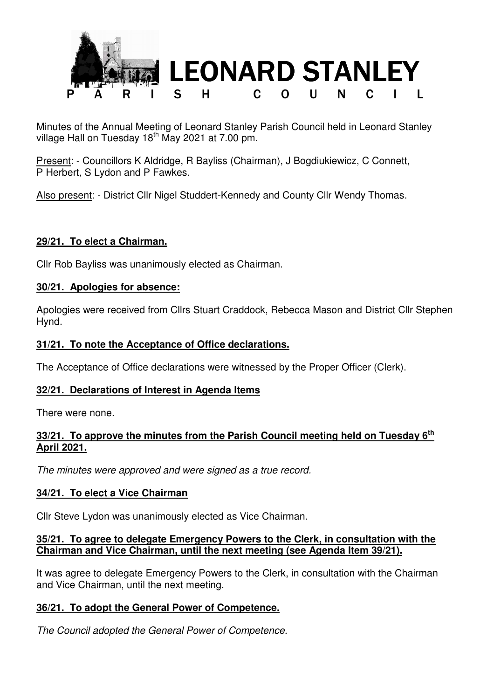

Minutes of the Annual Meeting of Leonard Stanley Parish Council held in Leonard Stanley village Hall on Tuesday  $18<sup>th</sup>$  May 2021 at 7.00 pm.

Present: - Councillors K Aldridge, R Bayliss (Chairman), J Bogdiukiewicz, C Connett, P Herbert, S Lydon and P Fawkes.

Also present: - District Cllr Nigel Studdert-Kennedy and County Cllr Wendy Thomas.

# **29/21. To elect a Chairman.**

Cllr Rob Bayliss was unanimously elected as Chairman.

#### **30/21. Apologies for absence:**

Apologies were received from Cllrs Stuart Craddock, Rebecca Mason and District Cllr Stephen Hynd.

#### **31/21. To note the Acceptance of Office declarations.**

The Acceptance of Office declarations were witnessed by the Proper Officer (Clerk).

## **32/21. Declarations of Interest in Agenda Items**

There were none.

# **33/21. To approve the minutes from the Parish Council meeting held on Tuesday 6th April 2021.**

*The minutes were approved and were signed as a true record.* 

## **34/21. To elect a Vice Chairman**

Cllr Steve Lydon was unanimously elected as Vice Chairman.

#### **35/21. To agree to delegate Emergency Powers to the Clerk, in consultation with the Chairman and Vice Chairman, until the next meeting (see Agenda Item 39/21).**

It was agree to delegate Emergency Powers to the Clerk, in consultation with the Chairman and Vice Chairman, until the next meeting.

## **36/21. To adopt the General Power of Competence.**

*The Council adopted the General Power of Competence.*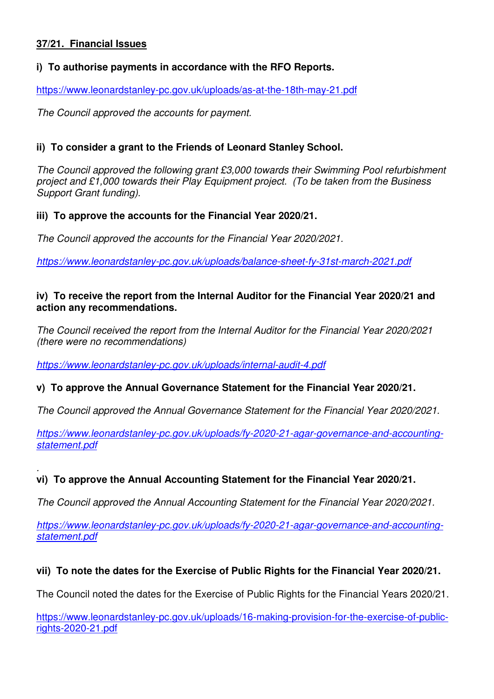# **37/21. Financial Issues**

## **i) To authorise payments in accordance with the RFO Reports.**

https://www.leonardstanley-pc.gov.uk/uploads/as-at-the-18th-may-21.pdf

*The Council approved the accounts for payment.* 

# **ii) To consider a grant to the Friends of Leonard Stanley School.**

*The Council approved the following grant £3,000 towards their Swimming Pool refurbishment project and £1,000 towards their Play Equipment project. (To be taken from the Business Support Grant funding).* 

## **iii) To approve the accounts for the Financial Year 2020/21.**

*The Council approved the accounts for the Financial Year 2020/2021.* 

*https://www.leonardstanley-pc.gov.uk/uploads/balance-sheet-fy-31st-march-2021.pdf*

#### **iv) To receive the report from the Internal Auditor for the Financial Year 2020/21 and action any recommendations.**

*The Council received the report from the Internal Auditor for the Financial Year 2020/2021 (there were no recommendations)* 

*https://www.leonardstanley-pc.gov.uk/uploads/internal-audit-4.pdf*

## **v) To approve the Annual Governance Statement for the Financial Year 2020/21.**

*The Council approved the Annual Governance Statement for the Financial Year 2020/2021.* 

*https://www.leonardstanley-pc.gov.uk/uploads/fy-2020-21-agar-governance-and-accountingstatement.pdf*

#### *.*  **vi) To approve the Annual Accounting Statement for the Financial Year 2020/21.**

*The Council approved the Annual Accounting Statement for the Financial Year 2020/2021.* 

*https://www.leonardstanley-pc.gov.uk/uploads/fy-2020-21-agar-governance-and-accountingstatement.pdf*

## **vii) To note the dates for the Exercise of Public Rights for the Financial Year 2020/21.**

The Council noted the dates for the Exercise of Public Rights for the Financial Years 2020/21.

https://www.leonardstanley-pc.gov.uk/uploads/16-making-provision-for-the-exercise-of-publicrights-2020-21.pdf